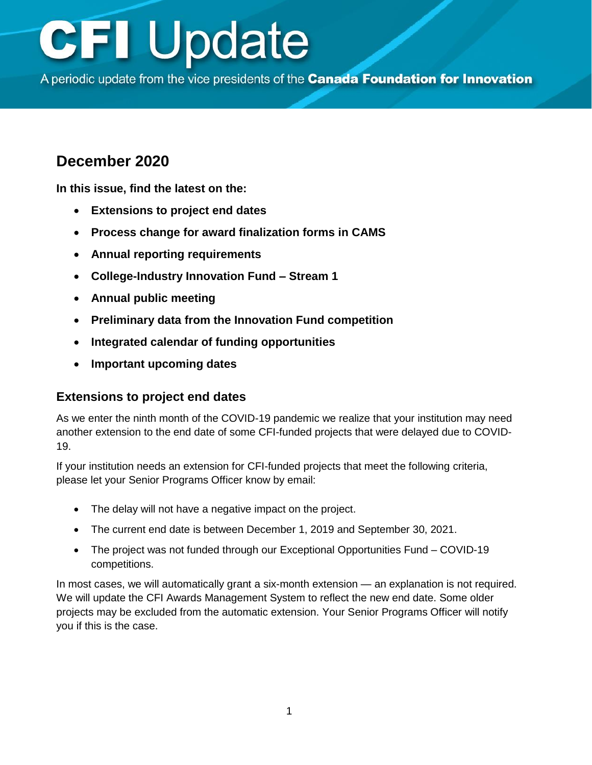A periodic update from the vice presidents of the Canada Foundation for Innovation

### **December 2020**

**In this issue, find the latest on the:**

- **Extensions to project end dates**
- **[Process change for award finalization forms in CAMS](#page-1-0)**
- **[Annual reporting requirements](#page-1-0)**
- **[College-Industry Innovation Fund –](#page-1-0) Stream 1**
- **[Annual public meeting](#page-1-0)**
- **Preliminary data [from the Innovation Fund competition](#page-2-0)**
- **[Integrated calendar of funding opportunities](#page-2-0)**
- **[Important upcoming dates](#page-3-0)**

#### **Extensions to project end dates**

As we enter the ninth month of the COVID-19 pandemic we realize that your institution may need another extension to the end date of some CFI-funded projects that were delayed due to COVID-19.

If your institution needs an extension for CFI-funded projects that meet the following criteria, please let your Senior Programs Officer know by email:

- The delay will not have a negative impact on the project.
- The current end date is between December 1, 2019 and September 30, 2021.
- The project was not funded through our Exceptional Opportunities Fund COVID-19 competitions.

In most cases, we will automatically grant a six-month extension — an explanation is not required. We will update the CFI Awards Management System to reflect the new end date. Some older projects may be excluded from the automatic extension. Your Senior Programs Officer will notify you if this is the case.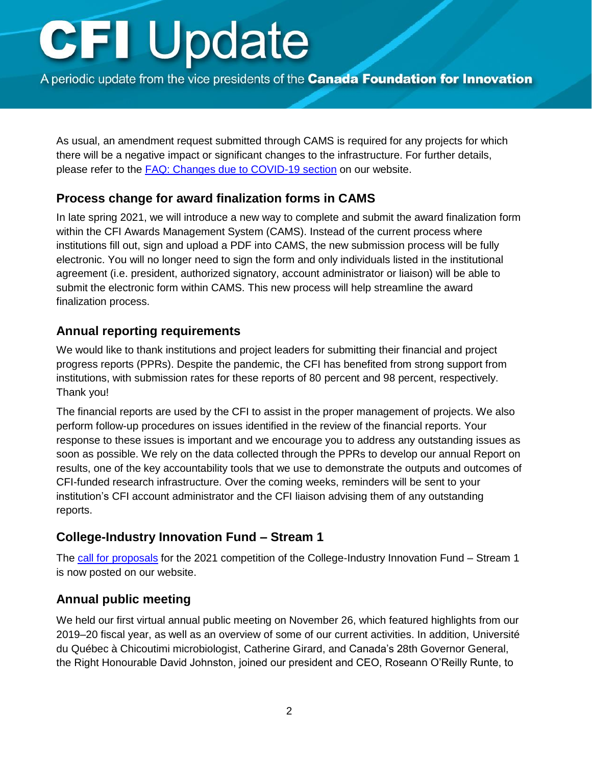<span id="page-1-0"></span>A periodic update from the vice presidents of the Canada Foundation for Innovation

As usual, an amendment request submitted through CAMS is required for any projects for which there will be a negative impact or significant changes to the infrastructure. For further details, please refer to the [FAQ: Changes due to COVID-19](https://www.innovation.ca/apply-manage-awards/faq-changes-due-covid-19) section on our website.

#### **Process change for award finalization forms in CAMS**

In late spring 2021, we will introduce a new way to complete and submit the award finalization form within the CFI Awards Management System (CAMS). Instead of the current process where institutions fill out, sign and upload a PDF into CAMS, the new submission process will be fully electronic. You will no longer need to sign the form and only individuals listed in the institutional agreement (i.e. president, authorized signatory, account administrator or liaison) will be able to submit the electronic form within CAMS. This new process will help streamline the award finalization process.

#### **Annual reporting requirements**

We would like to thank institutions and project leaders for submitting their financial and project progress reports (PPRs). Despite the pandemic, the CFI has benefited from strong support from institutions, with submission rates for these reports of 80 percent and 98 percent, respectively. Thank you!

The financial reports are used by the CFI to assist in the proper management of projects. We also perform follow-up procedures on issues identified in the review of the financial reports. Your response to these issues is important and we encourage you to address any outstanding issues as soon as possible. We rely on the data collected through the PPRs to develop our annual Report on results, one of the key accountability tools that we use to demonstrate the outputs and outcomes of CFI-funded research infrastructure. Over the coming weeks, reminders will be sent to your institution's CFI account administrator and the CFI liaison advising them of any outstanding reports.

#### **College-Industry Innovation Fund – Stream 1**

The [call for proposals](https://www.innovation.ca/awards/college-industry-innovation-fund) for the 2021 competition of the College-Industry Innovation Fund – Stream 1 is now posted on our website.

#### **Annual public meeting**

We held our first virtual annual public meeting on November 26, which featured highlights from our 2019–20 fiscal year, as well as an overview of some of our current activities. In addition, Université du Québec à Chicoutimi microbiologist, Catherine Girard, and Canada's 28th Governor General, the Right Honourable David Johnston, joined our president and CEO, Roseann O'Reilly Runte, to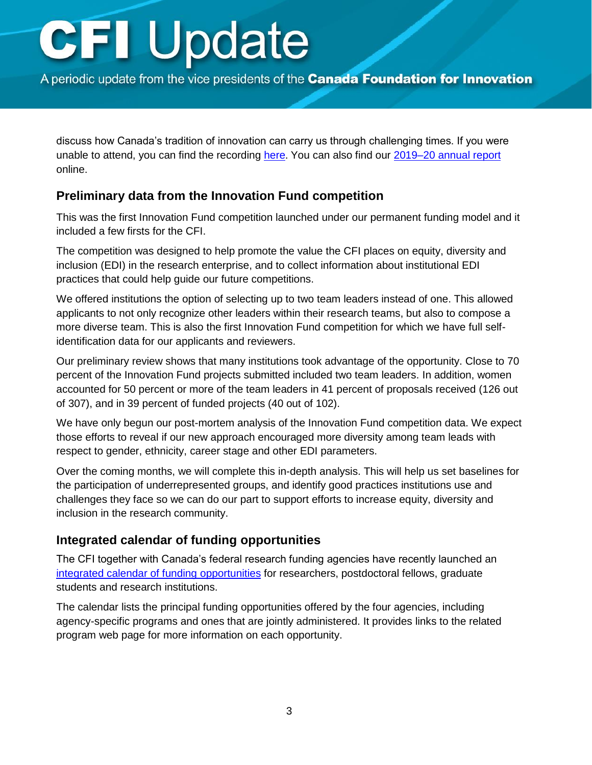<span id="page-2-0"></span>A periodic update from the vice presidents of the Canada Foundation for Innovation

discuss how Canada's tradition of innovation can carry us through challenging times. If you were unable to attend, you can find the recording [here.](https://youtu.be/7TaI78N9dqk) You can also find our [2019–20 annual report](https://www.innovation.ca/about/governance/annual-corporate-reports) online.

#### **Preliminary data from the Innovation Fund competition**

This was the first Innovation Fund competition launched under our permanent funding model and it included a few firsts for the CFI.

The competition was designed to help promote the value the CFI places on equity, diversity and inclusion (EDI) in the research enterprise, and to collect information about institutional EDI practices that could help guide our future competitions.

We offered institutions the option of selecting up to two team leaders instead of one. This allowed applicants to not only recognize other leaders within their research teams, but also to compose a more diverse team. This is also the first Innovation Fund competition for which we have full selfidentification data for our applicants and reviewers.

Our preliminary review shows that many institutions took advantage of the opportunity. Close to 70 percent of the Innovation Fund projects submitted included two team leaders. In addition, women accounted for 50 percent or more of the team leaders in 41 percent of proposals received (126 out of 307), and in 39 percent of funded projects (40 out of 102).

We have only begun our post-mortem analysis of the Innovation Fund competition data. We expect those efforts to reveal if our new approach encouraged more diversity among team leads with respect to gender, ethnicity, career stage and other EDI parameters.

Over the coming months, we will complete this in-depth analysis. This will help us set baselines for the participation of underrepresented groups, and identify good practices institutions use and challenges they face so we can do our part to support efforts to increase equity, diversity and inclusion in the research community.

#### **Integrated calendar of funding opportunities**

The CFI together with Canada's federal research funding agencies have recently launched an [integrated calendar of funding opportunities](https://www.canada.ca/en/research-coordinating-committee/program-calendar.html) for researchers, postdoctoral fellows, graduate students and research institutions.

The calendar lists the principal funding opportunities offered by the four agencies, including agency-specific programs and ones that are jointly administered. It provides links to the related program web page for more information on each opportunity.